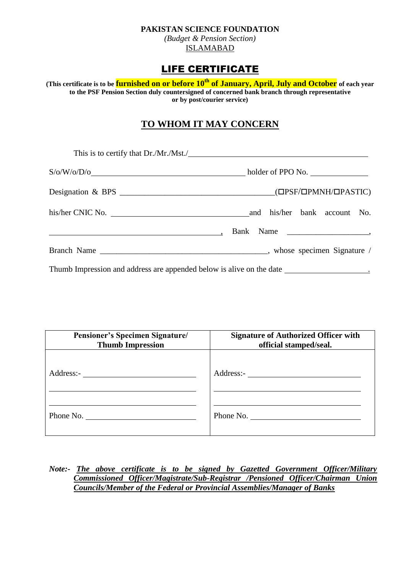#### **PAKISTAN SCIENCE FOUNDATION**

*(Budget & Pension Section)* ISLAMABAD

# LIFE CERTIFICATE

**(This certificate is to be furnished on or before 10th of January, April, July and October of each year to the PSF Pension Section duly countersigned of concerned bank branch through representative or by post/courier service)**

### **TO WHOM IT MAY CONCERN**

|                  | $S/O/W/O/D/O$ holder of PPO No.                                                                      |
|------------------|------------------------------------------------------------------------------------------------------|
|                  |                                                                                                      |
| his/her CNIC No. | and his/her bank account No.                                                                         |
|                  |                                                                                                      |
|                  |                                                                                                      |
|                  | Thumb Impression and address are appended below is alive on the date _______________________________ |

| <b>Pensioner's Specimen Signature/</b><br><b>Thumb Impression</b> | <b>Signature of Authorized Officer with</b><br>official stamped/seal. |
|-------------------------------------------------------------------|-----------------------------------------------------------------------|
|                                                                   |                                                                       |
| Phone No.                                                         | Phone No.                                                             |

*Note:- The above certificate is to be signed by Gazetted Government Officer/Military Commissioned Officer/Magistrate/Sub-Registrar /Pensioned Officer/Chairman Union Councils/Member of the Federal or Provincial Assemblies/Manager of Banks*